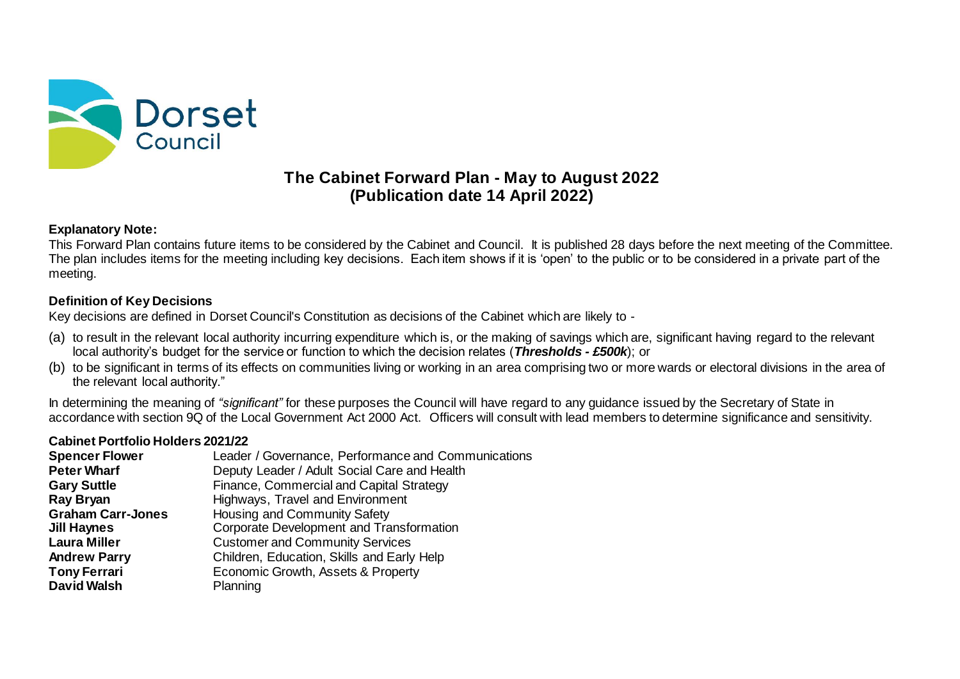

# **The Cabinet Forward Plan - May to August 2022 (Publication date 14 April 2022)**

### **Explanatory Note:**

This Forward Plan contains future items to be considered by the Cabinet and Council. It is published 28 days before the next meeting of the Committee. The plan includes items for the meeting including key decisions. Each item shows if it is 'open' to the public or to be considered in a private part of the meeting.

## **Definition of Key Decisions**

Key decisions are defined in Dorset Council's Constitution as decisions of the Cabinet which are likely to -

- (a) to result in the relevant local authority incurring expenditure which is, or the making of savings which are, significant having regard to the relevant local authority's budget for the service or function to which the decision relates (*Thresholds - £500k*); or
- (b) to be significant in terms of its effects on communities living or working in an area comprising two or more wards or electoral divisions in the area of the relevant local authority."

In determining the meaning of *"significant"* for these purposes the Council will have regard to any guidance issued by the Secretary of State in accordance with section 9Q of the Local Government Act 2000 Act. Officers will consult with lead members to determine significance and sensitivity.

#### **Cabinet Portfolio Holders 2021/22**

| Leader / Governance, Performance and Communications |
|-----------------------------------------------------|
| Deputy Leader / Adult Social Care and Health        |
| Finance, Commercial and Capital Strategy            |
| Highways, Travel and Environment                    |
| Housing and Community Safety                        |
| Corporate Development and Transformation            |
| <b>Customer and Community Services</b>              |
| Children, Education, Skills and Early Help          |
| Economic Growth, Assets & Property                  |
| Planning                                            |
|                                                     |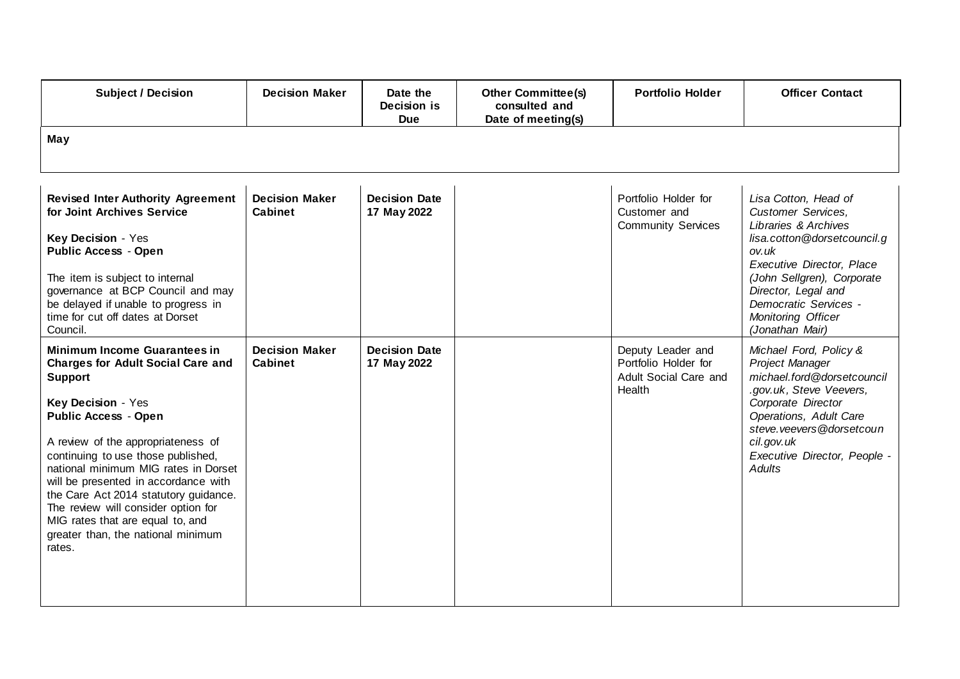| <b>Subject / Decision</b>                                                                                                                                                                                                                                                                                                                                                                                                                                                              | <b>Decision Maker</b>                   | Date the<br>Decision is<br><b>Due</b> | <b>Other Committee(s)</b><br>consulted and<br>Date of meeting(s) | <b>Portfolio Holder</b>                                                      | <b>Officer Contact</b>                                                                                                                                                                                                                                         |
|----------------------------------------------------------------------------------------------------------------------------------------------------------------------------------------------------------------------------------------------------------------------------------------------------------------------------------------------------------------------------------------------------------------------------------------------------------------------------------------|-----------------------------------------|---------------------------------------|------------------------------------------------------------------|------------------------------------------------------------------------------|----------------------------------------------------------------------------------------------------------------------------------------------------------------------------------------------------------------------------------------------------------------|
| May                                                                                                                                                                                                                                                                                                                                                                                                                                                                                    |                                         |                                       |                                                                  |                                                                              |                                                                                                                                                                                                                                                                |
| <b>Revised Inter Authority Agreement</b><br>for Joint Archives Service<br>Key Decision - Yes<br><b>Public Access - Open</b><br>The item is subject to internal<br>governance at BCP Council and may<br>be delayed if unable to progress in<br>time for cut off dates at Dorset<br>Council.                                                                                                                                                                                             | <b>Decision Maker</b><br><b>Cabinet</b> | <b>Decision Date</b><br>17 May 2022   |                                                                  | Portfolio Holder for<br>Customer and<br><b>Community Services</b>            | Lisa Cotton, Head of<br>Customer Services,<br>Libraries & Archives<br>lisa.cotton@dorsetcouncil.g<br>ov.uk<br>Executive Director, Place<br>(John Sellgren), Corporate<br>Director, Legal and<br>Democratic Services -<br>Monitoring Officer<br>(Jonathan Mair) |
| <b>Minimum Income Guarantees in</b><br><b>Charges for Adult Social Care and</b><br><b>Support</b><br>Key Decision - Yes<br><b>Public Access - Open</b><br>A review of the appropriateness of<br>continuing to use those published,<br>national minimum MIG rates in Dorset<br>will be presented in accordance with<br>the Care Act 2014 statutory guidance.<br>The review will consider option for<br>MIG rates that are equal to, and<br>greater than, the national minimum<br>rates. | <b>Decision Maker</b><br><b>Cabinet</b> | <b>Decision Date</b><br>17 May 2022   |                                                                  | Deputy Leader and<br>Portfolio Holder for<br>Adult Social Care and<br>Health | Michael Ford, Policy &<br>Project Manager<br>michael.ford@dorsetcouncil<br>.gov.uk, Steve Veevers,<br>Corporate Director<br>Operations, Adult Care<br>steve.veevers@dorsetcoun<br>cil.gov.uk<br>Executive Director, People -<br>Adults                         |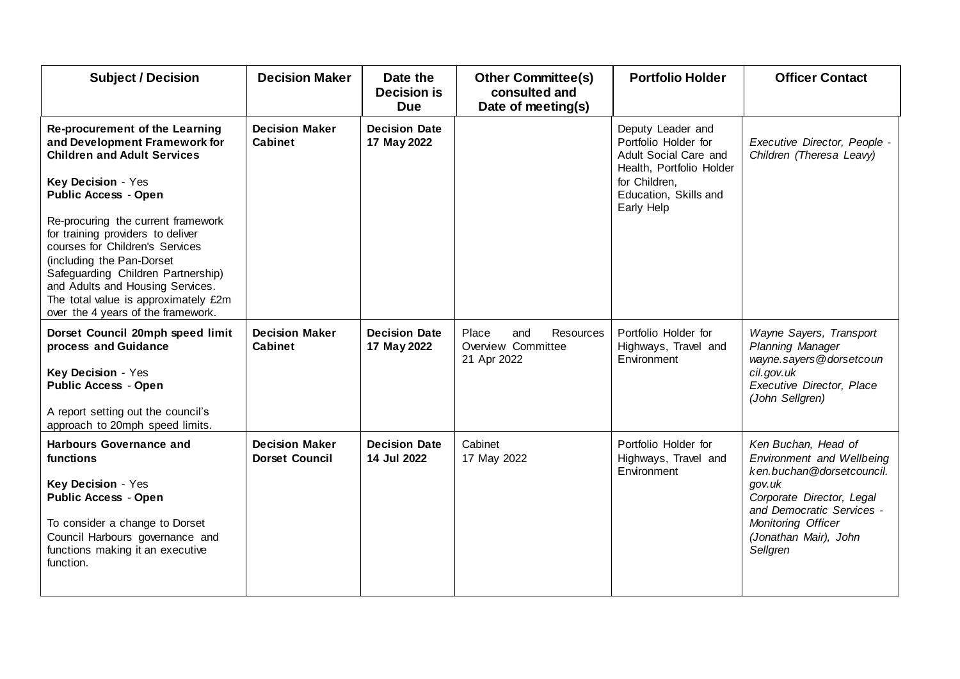| <b>Subject / Decision</b>                                                                                                                                                                                                                                                                                                                                                                                                                                     | <b>Decision Maker</b>                          | Date the<br><b>Decision is</b><br><b>Due</b> | <b>Other Committee(s)</b><br>consulted and<br>Date of meeting(s) | <b>Portfolio Holder</b>                                                                                                                                | <b>Officer Contact</b>                                                                                                                                                                                       |
|---------------------------------------------------------------------------------------------------------------------------------------------------------------------------------------------------------------------------------------------------------------------------------------------------------------------------------------------------------------------------------------------------------------------------------------------------------------|------------------------------------------------|----------------------------------------------|------------------------------------------------------------------|--------------------------------------------------------------------------------------------------------------------------------------------------------|--------------------------------------------------------------------------------------------------------------------------------------------------------------------------------------------------------------|
| Re-procurement of the Learning<br>and Development Framework for<br><b>Children and Adult Services</b><br>Key Decision - Yes<br><b>Public Access - Open</b><br>Re-procuring the current framework<br>for training providers to deliver<br>courses for Children's Services<br>(including the Pan-Dorset<br>Safeguarding Children Partnership)<br>and Adults and Housing Services.<br>The total value is approximately £2m<br>over the 4 years of the framework. | <b>Decision Maker</b><br>Cabinet               | <b>Decision Date</b><br>17 May 2022          |                                                                  | Deputy Leader and<br>Portfolio Holder for<br>Adult Social Care and<br>Health, Portfolio Holder<br>for Children,<br>Education, Skills and<br>Early Help | Executive Director, People -<br>Children (Theresa Leavy)                                                                                                                                                     |
| Dorset Council 20mph speed limit<br>process and Guidance<br>Key Decision - Yes<br><b>Public Access - Open</b><br>A report setting out the council's<br>approach to 20mph speed limits.                                                                                                                                                                                                                                                                        | <b>Decision Maker</b><br><b>Cabinet</b>        | <b>Decision Date</b><br>17 May 2022          | Resources<br>Place<br>and<br>Overview Committee<br>21 Apr 2022   | Portfolio Holder for<br>Highways, Travel and<br>Environment                                                                                            | Wayne Sayers, Transport<br>Planning Manager<br>wayne.sayers@dorsetcoun<br>cil.gov.uk<br><b>Executive Director, Place</b><br>(John Sellgren)                                                                  |
| <b>Harbours Governance and</b><br>functions<br>Key Decision - Yes<br><b>Public Access - Open</b><br>To consider a change to Dorset<br>Council Harbours governance and<br>functions making it an executive<br>function.                                                                                                                                                                                                                                        | <b>Decision Maker</b><br><b>Dorset Council</b> | <b>Decision Date</b><br>14 Jul 2022          | Cabinet<br>17 May 2022                                           | Portfolio Holder for<br>Highways, Travel and<br>Environment                                                                                            | Ken Buchan, Head of<br>Environment and Wellbeing<br>ken.buchan@dorsetcouncil.<br>gov.uk<br>Corporate Director, Legal<br>and Democratic Services -<br>Monitoring Officer<br>(Jonathan Mair), John<br>Sellgren |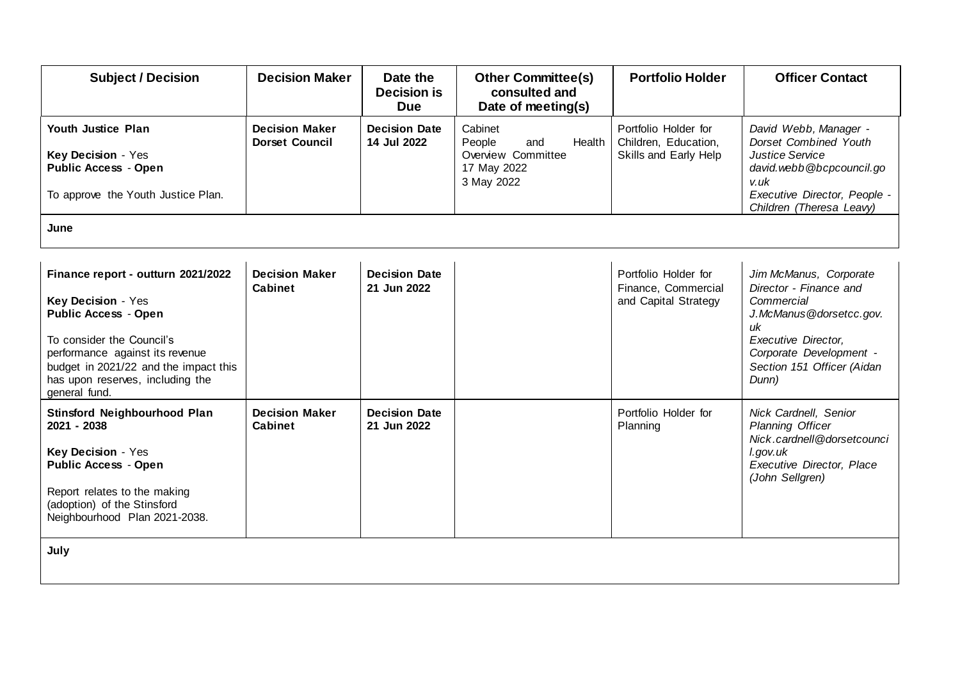| <b>Subject / Decision</b>                                                                                                                                                                                                                             | <b>Decision Maker</b>                          | Date the<br><b>Decision is</b><br><b>Due</b> | <b>Other Committee(s)</b><br>consulted and<br>Date of meeting(s)                      | <b>Portfolio Holder</b>                                               | <b>Officer Contact</b>                                                                                                                                                                          |
|-------------------------------------------------------------------------------------------------------------------------------------------------------------------------------------------------------------------------------------------------------|------------------------------------------------|----------------------------------------------|---------------------------------------------------------------------------------------|-----------------------------------------------------------------------|-------------------------------------------------------------------------------------------------------------------------------------------------------------------------------------------------|
| <b>Youth Justice Plan</b><br>Key Decision - Yes<br><b>Public Access - Open</b><br>To approve the Youth Justice Plan.<br>June                                                                                                                          | <b>Decision Maker</b><br><b>Dorset Council</b> | <b>Decision Date</b><br>14 Jul 2022          | Cabinet<br>People<br>Health<br>and<br>Overview Committee<br>17 May 2022<br>3 May 2022 | Portfolio Holder for<br>Children, Education,<br>Skills and Early Help | David Webb, Manager -<br>Dorset Combined Youth<br><b>Justice Service</b><br>david.webb@bcpcouncil.go<br>v.uk<br>Executive Director, People -<br>Children (Theresa Leavy)                        |
|                                                                                                                                                                                                                                                       |                                                |                                              |                                                                                       |                                                                       |                                                                                                                                                                                                 |
| Finance report - outturn 2021/2022<br>Key Decision - Yes<br><b>Public Access - Open</b><br>To consider the Council's<br>performance against its revenue<br>budget in 2021/22 and the impact this<br>has upon reserves, including the<br>general fund. | <b>Decision Maker</b><br><b>Cabinet</b>        | <b>Decision Date</b><br>21 Jun 2022          |                                                                                       | Portfolio Holder for<br>Finance, Commercial<br>and Capital Strategy   | Jim McManus, Corporate<br>Director - Finance and<br>Commercial<br>J.McManus@dorsetcc.gov.<br>иk<br><b>Executive Director,</b><br>Corporate Development -<br>Section 151 Officer (Aidan<br>Dunn) |
| Stinsford Neighbourhood Plan<br>2021 - 2038<br>Key Decision - Yes<br><b>Public Access - Open</b><br>Report relates to the making<br>(adoption) of the Stinsford<br>Neighbourhood Plan 2021-2038.                                                      | <b>Decision Maker</b><br>Cabinet               | <b>Decision Date</b><br>21 Jun 2022          |                                                                                       | Portfolio Holder for<br>Planning                                      | Nick Cardnell, Senior<br><b>Planning Officer</b><br>Nick.cardnell@dorsetcounci<br>l.gov.uk<br>Executive Director, Place<br>(John Sellgren)                                                      |
| July                                                                                                                                                                                                                                                  |                                                |                                              |                                                                                       |                                                                       |                                                                                                                                                                                                 |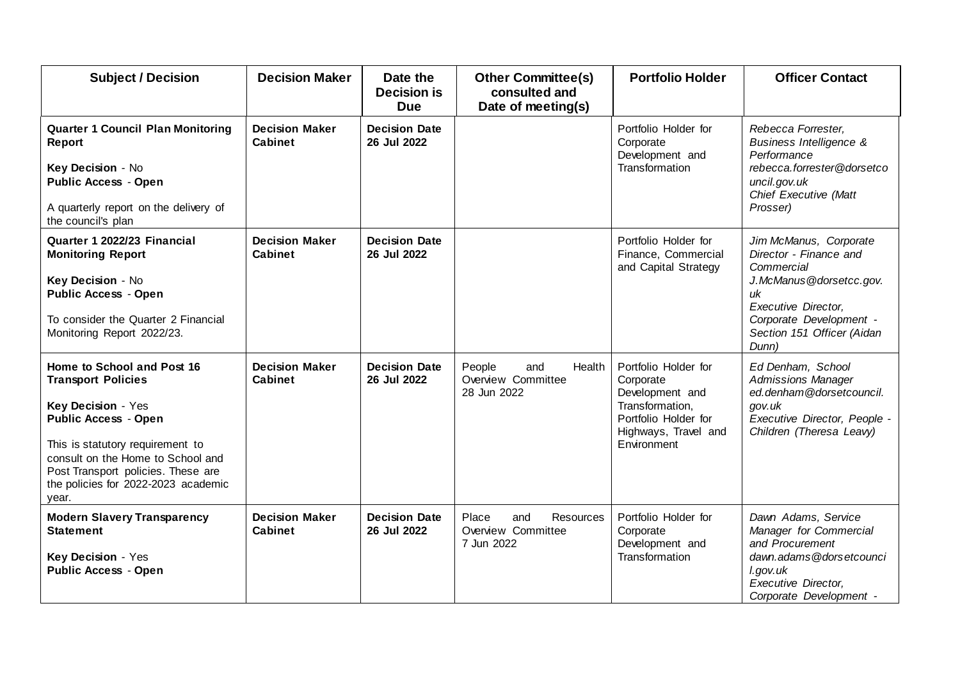| <b>Subject / Decision</b>                                                                                                                                                                                                                                                   | <b>Decision Maker</b>                   | Date the<br><b>Decision is</b><br><b>Due</b> | <b>Other Committee(s)</b><br>consulted and<br>Date of meeting(s) | <b>Portfolio Holder</b>                                                                                                                | <b>Officer Contact</b>                                                                                                                                                                          |
|-----------------------------------------------------------------------------------------------------------------------------------------------------------------------------------------------------------------------------------------------------------------------------|-----------------------------------------|----------------------------------------------|------------------------------------------------------------------|----------------------------------------------------------------------------------------------------------------------------------------|-------------------------------------------------------------------------------------------------------------------------------------------------------------------------------------------------|
| <b>Quarter 1 Council Plan Monitoring</b><br><b>Report</b><br>Key Decision - No<br><b>Public Access - Open</b><br>A quarterly report on the delivery of<br>the council's plan                                                                                                | <b>Decision Maker</b><br>Cabinet        | <b>Decision Date</b><br>26 Jul 2022          |                                                                  | Portfolio Holder for<br>Corporate<br>Development and<br>Transformation                                                                 | Rebecca Forrester,<br><b>Business Intelligence &amp;</b><br>Performance<br>rebecca.forrester@dorsetco<br>uncil.gov.uk<br>Chief Executive (Matt<br>Prosser)                                      |
| Quarter 1 2022/23 Financial<br><b>Monitoring Report</b><br>Key Decision - No<br><b>Public Access - Open</b><br>To consider the Quarter 2 Financial<br>Monitoring Report 2022/23.                                                                                            | <b>Decision Maker</b><br><b>Cabinet</b> | <b>Decision Date</b><br>26 Jul 2022          |                                                                  | Portfolio Holder for<br>Finance, Commercial<br>and Capital Strategy                                                                    | Jim McManus, Corporate<br>Director - Finance and<br>Commercial<br>J.McManus@dorsetcc.gov.<br>иk<br><b>Executive Director,</b><br>Corporate Development -<br>Section 151 Officer (Aidan<br>Dunn) |
| Home to School and Post 16<br><b>Transport Policies</b><br>Key Decision - Yes<br><b>Public Access - Open</b><br>This is statutory requirement to<br>consult on the Home to School and<br>Post Transport policies. These are<br>the policies for 2022-2023 academic<br>year. | <b>Decision Maker</b><br>Cabinet        | <b>Decision Date</b><br>26 Jul 2022          | People<br>and<br>Health<br>Overview Committee<br>28 Jun 2022     | Portfolio Holder for<br>Corporate<br>Development and<br>Transformation,<br>Portfolio Holder for<br>Highways, Travel and<br>Environment | Ed Denham, School<br><b>Admissions Manager</b><br>ed.denham@dorsetcouncil.<br>gov.uk<br>Executive Director, People -<br>Children (Theresa Leavy)                                                |
| <b>Modern Slavery Transparency</b><br><b>Statement</b><br>Key Decision - Yes<br><b>Public Access - Open</b>                                                                                                                                                                 | <b>Decision Maker</b><br><b>Cabinet</b> | <b>Decision Date</b><br>26 Jul 2022          | Resources<br>and<br>Place<br>Overview Committee<br>7 Jun 2022    | Portfolio Holder for<br>Corporate<br>Development and<br>Transformation                                                                 | Dawn Adams, Service<br>Manager for Commercial<br>and Procurement<br>dawn.adams@dorsetcounci<br>l.gov.uk<br><b>Executive Director,</b><br>Corporate Development -                                |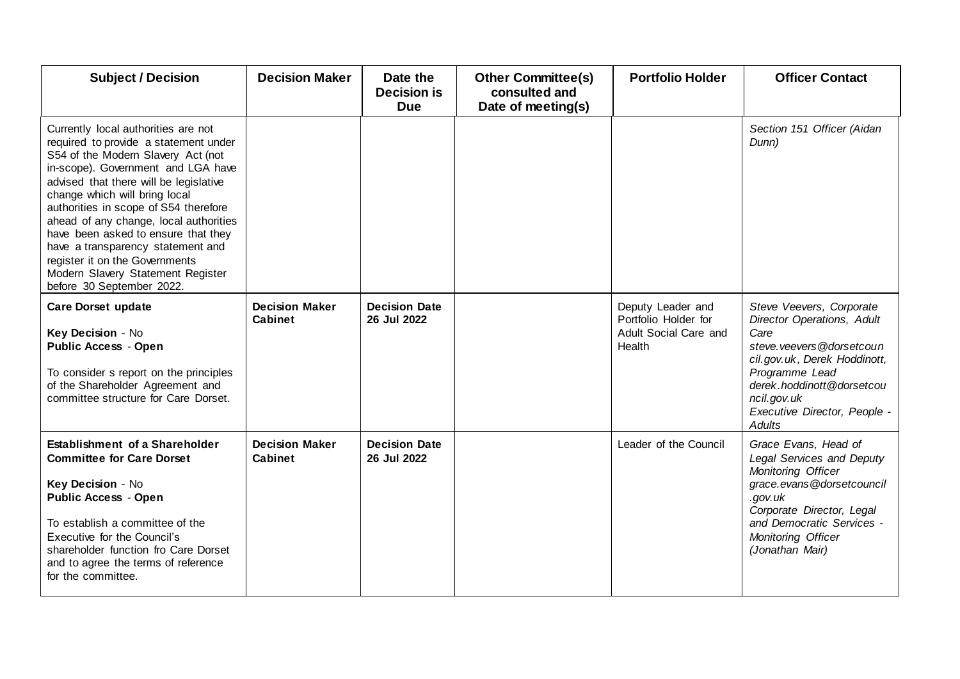| <b>Subject / Decision</b>                                                                                                                                                                                                                                                                                                                                                                                                                                                                              | <b>Decision Maker</b>                   | Date the<br><b>Decision is</b><br><b>Due</b> | <b>Other Committee(s)</b><br>consulted and<br>Date of meeting(s) | <b>Portfolio Holder</b>                                                      | <b>Officer Contact</b>                                                                                                                                                                                                              |
|--------------------------------------------------------------------------------------------------------------------------------------------------------------------------------------------------------------------------------------------------------------------------------------------------------------------------------------------------------------------------------------------------------------------------------------------------------------------------------------------------------|-----------------------------------------|----------------------------------------------|------------------------------------------------------------------|------------------------------------------------------------------------------|-------------------------------------------------------------------------------------------------------------------------------------------------------------------------------------------------------------------------------------|
| Currently local authorities are not<br>required to provide a statement under<br>S54 of the Modern Slavery Act (not<br>in-scope). Government and LGA have<br>advised that there will be legislative<br>change which will bring local<br>authorities in scope of S54 therefore<br>ahead of any change, local authorities<br>have been asked to ensure that they<br>have a transparency statement and<br>register it on the Governments<br>Modern Slavery Statement Register<br>before 30 September 2022. |                                         |                                              |                                                                  |                                                                              | Section 151 Officer (Aidan<br>Dunn)                                                                                                                                                                                                 |
| <b>Care Dorset update</b><br>Key Decision - No<br><b>Public Access - Open</b><br>To consider s report on the principles<br>of the Shareholder Agreement and<br>committee structure for Care Dorset.                                                                                                                                                                                                                                                                                                    | <b>Decision Maker</b><br><b>Cabinet</b> | <b>Decision Date</b><br>26 Jul 2022          |                                                                  | Deputy Leader and<br>Portfolio Holder for<br>Adult Social Care and<br>Health | Steve Veevers, Corporate<br>Director Operations, Adult<br>Care<br>steve veevers @dorsetcoun<br>cil.gov.uk, Derek Hoddinott,<br>Programme Lead<br>derek.hoddinott@dorsetcou<br>ncil.gov.uk<br>Executive Director, People -<br>Adults |
| Establishment of a Shareholder<br><b>Committee for Care Dorset</b><br>Key Decision - No<br><b>Public Access - Open</b><br>To establish a committee of the<br>Executive for the Council's<br>shareholder function fro Care Dorset<br>and to agree the terms of reference<br>for the committee.                                                                                                                                                                                                          | <b>Decision Maker</b><br><b>Cabinet</b> | <b>Decision Date</b><br>26 Jul 2022          |                                                                  | Leader of the Council                                                        | Grace Evans, Head of<br>Legal Services and Deputy<br>Monitoring Officer<br>grace.evans@dorsetcouncil<br>.gov.uk<br>Corporate Director, Legal<br>and Democratic Services -<br>Monitoring Officer<br>(Jonathan Mair)                  |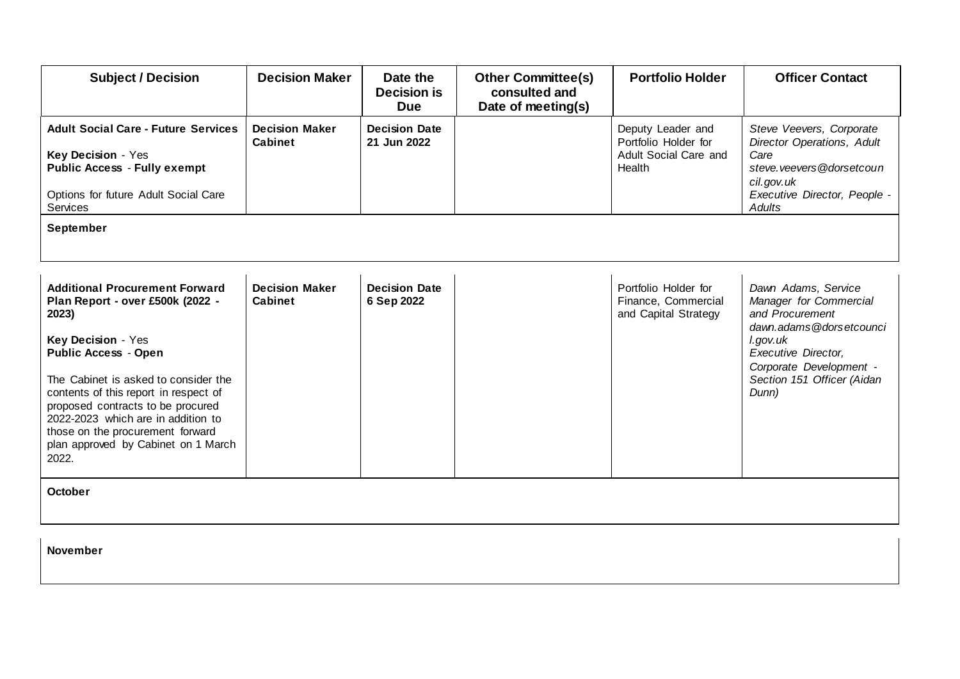| <b>Subject / Decision</b>                                                                                                                                                                                                                                                                                                                                                               | <b>Decision Maker</b>                   | Date the<br><b>Decision is</b><br><b>Due</b> | <b>Other Committee(s)</b><br>consulted and<br>Date of meeting(s) | <b>Portfolio Holder</b>                                                      | <b>Officer Contact</b>                                                                                                                                                                                  |
|-----------------------------------------------------------------------------------------------------------------------------------------------------------------------------------------------------------------------------------------------------------------------------------------------------------------------------------------------------------------------------------------|-----------------------------------------|----------------------------------------------|------------------------------------------------------------------|------------------------------------------------------------------------------|---------------------------------------------------------------------------------------------------------------------------------------------------------------------------------------------------------|
| <b>Adult Social Care - Future Services</b><br>Key Decision - Yes<br><b>Public Access - Fully exempt</b><br>Options for future Adult Social Care<br>Services                                                                                                                                                                                                                             | <b>Decision Maker</b><br><b>Cabinet</b> | <b>Decision Date</b><br>21 Jun 2022          |                                                                  | Deputy Leader and<br>Portfolio Holder for<br>Adult Social Care and<br>Health | Steve Veevers, Corporate<br>Director Operations, Adult<br>Care<br>steve.veevers@dorsetcoun<br>cil.gov.uk<br>Executive Director, People -<br><b>Adults</b>                                               |
| September                                                                                                                                                                                                                                                                                                                                                                               |                                         |                                              |                                                                  |                                                                              |                                                                                                                                                                                                         |
| <b>Additional Procurement Forward</b><br>Plan Report - over £500k (2022 -<br>2023)<br>Key Decision - Yes<br><b>Public Access - Open</b><br>The Cabinet is asked to consider the<br>contents of this report in respect of<br>proposed contracts to be procured<br>2022-2023 which are in addition to<br>those on the procurement forward<br>plan approved by Cabinet on 1 March<br>2022. | <b>Decision Maker</b><br><b>Cabinet</b> | <b>Decision Date</b><br>6 Sep 2022           |                                                                  | Portfolio Holder for<br>Finance, Commercial<br>and Capital Strategy          | Dawn Adams, Service<br>Manager for Commercial<br>and Procurement<br>dawn.adams@dorsetcounci<br>l.gov.uk<br><b>Executive Director,</b><br>Corporate Development -<br>Section 151 Officer (Aidan<br>Dunn) |
| <b>October</b>                                                                                                                                                                                                                                                                                                                                                                          |                                         |                                              |                                                                  |                                                                              |                                                                                                                                                                                                         |

**November**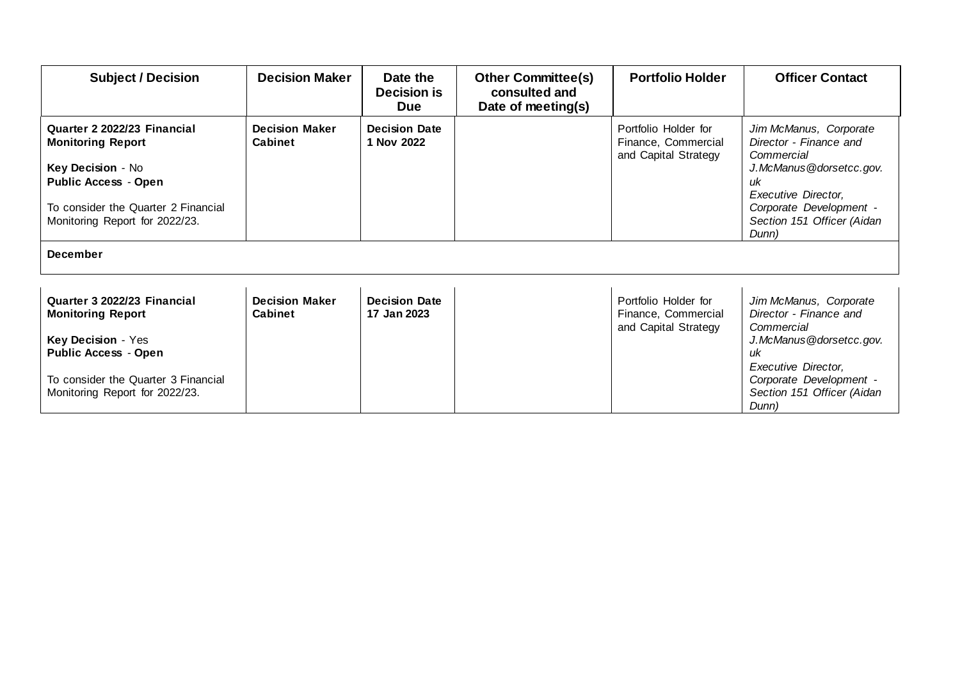| <b>Subject / Decision</b>                                                                                                                                                             | <b>Decision Maker</b>                   | Date the<br><b>Decision is</b><br><b>Due</b> | <b>Other Committee(s)</b><br>consulted and<br>Date of meeting(s) | <b>Portfolio Holder</b>                                             | <b>Officer Contact</b>                                                                                                                                                                   |
|---------------------------------------------------------------------------------------------------------------------------------------------------------------------------------------|-----------------------------------------|----------------------------------------------|------------------------------------------------------------------|---------------------------------------------------------------------|------------------------------------------------------------------------------------------------------------------------------------------------------------------------------------------|
| Quarter 2 2022/23 Financial<br><b>Monitoring Report</b><br>Key Decision - No<br><b>Public Access - Open</b><br>To consider the Quarter 2 Financial<br>Monitoring Report for 2022/23.  | <b>Decision Maker</b><br><b>Cabinet</b> | <b>Decision Date</b><br>1 Nov 2022           |                                                                  | Portfolio Holder for<br>Finance, Commercial<br>and Capital Strategy | Jim McManus, Corporate<br>Director - Finance and<br>Commercial<br>J.McManus@dorsetcc.gov.<br>иk<br>Executive Director,<br>Corporate Development -<br>Section 151 Officer (Aidan<br>Dunn) |
| <b>December</b>                                                                                                                                                                       |                                         |                                              |                                                                  |                                                                     |                                                                                                                                                                                          |
| Quarter 3 2022/23 Financial<br><b>Monitoring Report</b><br>Key Decision - Yes<br><b>Public Access - Open</b><br>To consider the Quarter 3 Financial<br>Monitoring Report for 2022/23. | <b>Decision Maker</b><br><b>Cabinet</b> | <b>Decision Date</b><br>17 Jan 2023          |                                                                  | Portfolio Holder for<br>Finance, Commercial<br>and Capital Strategy | Jim McManus, Corporate<br>Director - Finance and<br>Commercial<br>J.McManus@dorsetcc.gov.<br>иk<br>Executive Director,<br>Corporate Development -<br>Section 151 Officer (Aidan<br>Dunn) |